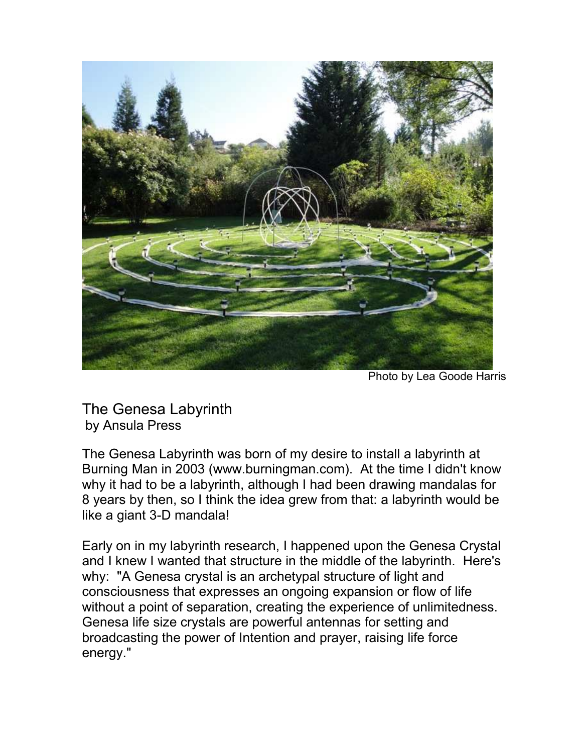

Photo by Lea Goode Harris

The Genesa Labyrinth by Ansula Press

The Genesa Labyrinth was born of my desire to install a labyrinth at Burning Man in 2003 (www.burningman.com). At the time I didn't know why it had to be a labyrinth, although I had been drawing mandalas for 8 years by then, so I think the idea grew from that: a labyrinth would be like a giant 3-D mandala!

Early on in my labyrinth research, I happened upon the Genesa Crystal and I knew I wanted that structure in the middle of the labyrinth. Here's why: "A Genesa crystal is an archetypal structure of light and consciousness that expresses an ongoing expansion or flow of life without a point of separation, creating the experience of unlimitedness. Genesa life size crystals are powerful antennas for setting and broadcasting the power of Intention and prayer, raising life force energy."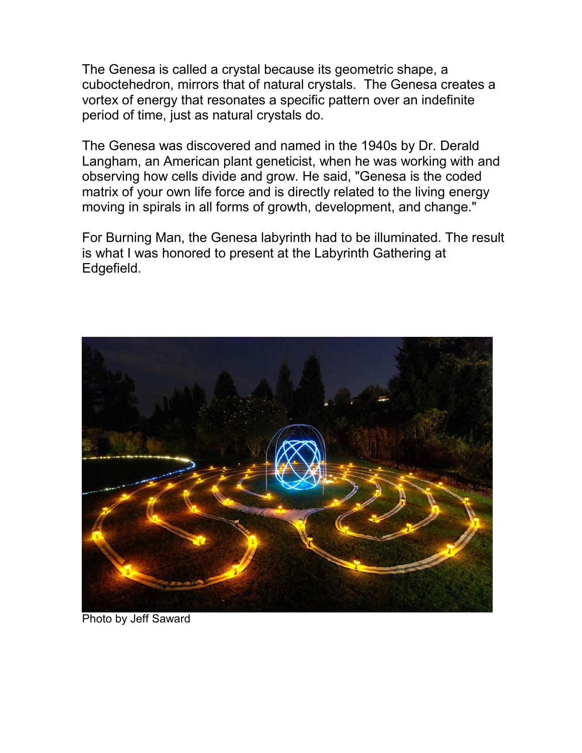The Genesa is called a crystal because its geometric shape, a cuboctehedron, mirrors that of natural crystals. The Genesa creates a vortex of energy that resonates a specific pattern over an indefinite period of time, just as natural crystals do.

The Genesa was discovered and named in the 1940s by Dr. Derald Langham, an American plant geneticist, when he was working with and observing how cells divide and grow. He said, "Genesa is the coded matrix of your own life force and is directly related to the living energy moving in spirals in all forms of growth, development, and change."

For Burning Man, the Genesa labyrinth had to be illuminated. The result is what I was honored to present at the Labyrinth Gathering at Edgefield.



Photo by Jeff Saward